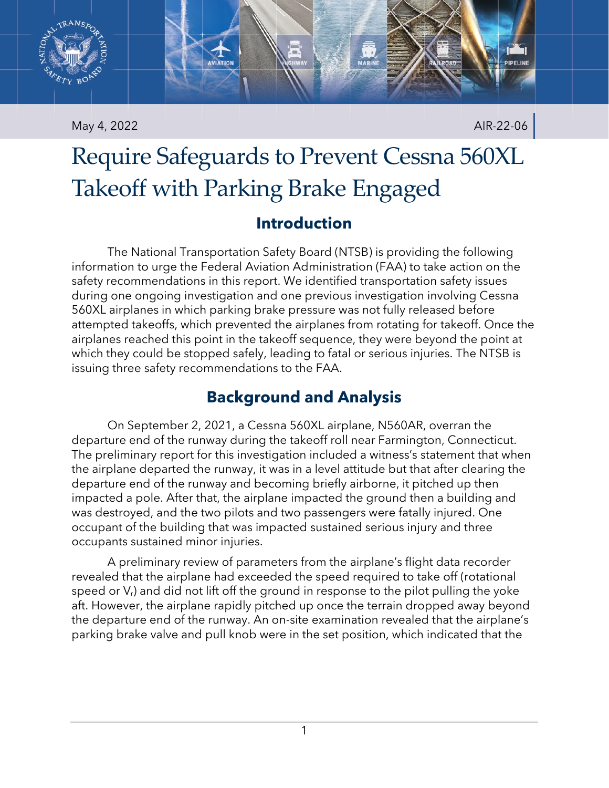

May 4, 2022 **AIR-22-06** 

# Require Safeguards to Prevent Cessna 560XL Takeoff with Parking Brake Engaged

## **Introduction**

The National Transportation Safety Board (NTSB) is providing the following information to urge the Federal Aviation Administration (FAA) to take action on the safety recommendations in this report. We identified transportation safety issues during one ongoing investigation and one previous investigation involving Cessna 560XL airplanes in which parking brake pressure was not fully released before attempted takeoffs, which prevented the airplanes from rotating for takeoff. Once the airplanes reached this point in the takeoff sequence, they were beyond the point at which they could be stopped safely, leading to fatal or serious injuries. The NTSB is issuing three safety recommendations to the FAA.

## **Background and Analysis**

On September 2, 2021, a Cessna 560XL airplane, N560AR, overran the departure end of the runway during the takeoff roll near Farmington, Connecticut. The preliminary report for this investigation included a witness's statement that when the airplane departed the runway, it was in a level attitude but that after clearing the departure end of the runway and becoming briefly airborne, it pitched up then impacted a pole. After that, the airplane impacted the ground then a building and was destroyed, and the two pilots and two passengers were fatally injured. One occupant of the building that was impacted sustained serious injury and three occupants sustained minor injuries.

A preliminary review of parameters from the airplane's flight data recorder revealed that the airplane had exceeded the speed required to take off (rotational speed or  $V<sub>r</sub>$ ) and did not lift off the ground in response to the pilot pulling the yoke aft. However, the airplane rapidly pitched up once the terrain dropped away beyond the departure end of the runway. An on-site examination revealed that the airplane's parking brake valve and pull knob were in the set position, which indicated that the

1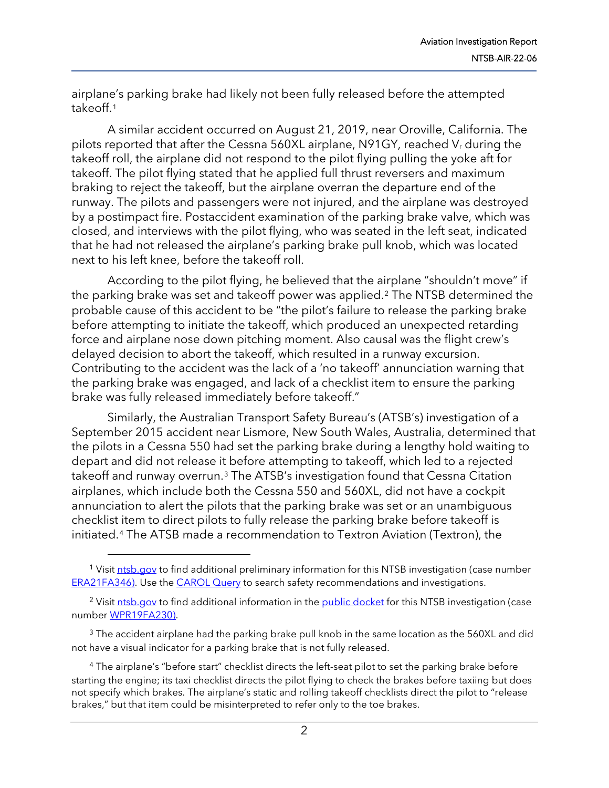airplane's parking brake had likely not been fully released before the attempted takeoff.[1](#page-1-0)

A similar accident occurred on August 21, 2019, near Oroville, California. The pilots reported that after the Cessna 560XL airplane, N91GY, reached  $V_r$  during the takeoff roll, the airplane did not respond to the pilot flying pulling the yoke aft for takeoff. The pilot flying stated that he applied full thrust reversers and maximum braking to reject the takeoff, but the airplane overran the departure end of the runway. The pilots and passengers were not injured, and the airplane was destroyed by a postimpact fire. Postaccident examination of the parking brake valve, which was closed, and interviews with the pilot flying, who was seated in the left seat, indicated that he had not released the airplane's parking brake pull knob, which was located next to his left knee, before the takeoff roll.

According to the pilot flying, he believed that the airplane "shouldn't move" if the parking brake was set and takeoff power was applied.[2](#page-1-1) The NTSB determined the probable cause of this accident to be "the pilot's failure to release the parking brake before attempting to initiate the takeoff, which produced an unexpected retarding force and airplane nose down pitching moment. Also causal was the flight crew's delayed decision to abort the takeoff, which resulted in a runway excursion. Contributing to the accident was the lack of a 'no takeoff' annunciation warning that the parking brake was engaged, and lack of a checklist item to ensure the parking brake was fully released immediately before takeoff."

Similarly, the Australian Transport Safety Bureau's (ATSB's) investigation of a September 2015 accident near Lismore, New South Wales, Australia, determined that the pilots in a Cessna 550 had set the parking brake during a lengthy hold waiting to depart and did not release it before attempting to takeoff, which led to a rejected takeoff and runway overrun.[3](#page-1-2) The ATSB's investigation found that Cessna Citation airplanes, which include both the Cessna 550 and 560XL, did not have a cockpit annunciation to alert the pilots that the parking brake was set or an unambiguous checklist item to direct pilots to fully release the parking brake before takeoff is initiated.[4](#page-1-3) The ATSB made a recommendation to Textron Aviation (Textron), the

<span id="page-1-0"></span><sup>&</sup>lt;sup>1</sup> Visit [ntsb.gov](https://www.ntsb.gov/) to find additional preliminary information for this NTSB investigation (case number [ERA21FA346\)](https://data.ntsb.gov/carol-repgen/api/Aviation/ReportMain/GenerateNewestReport/103791/pdf). Use th[e CAROL Query](https://data.ntsb.gov/carol-main-public/basic-search) to search safety recommendations and investigations.

<span id="page-1-1"></span><sup>&</sup>lt;sup>2</sup> Visit [ntsb.gov](https://www.ntsb.gov/) to find additional information in the [public docket](https://data.ntsb.gov/Docket/Forms/searchdocket) for this NTSB investigation (case number [WPR19FA230\)](https://data.ntsb.gov/carol-repgen/api/Aviation/ReportMain/GenerateNewestReport/100109/pdf).

<span id="page-1-2"></span><sup>&</sup>lt;sup>3</sup> The accident airplane had the parking brake pull knob in the same location as the 560XL and did not have a visual indicator for a parking brake that is not fully released.

<span id="page-1-3"></span><sup>&</sup>lt;sup>4</sup> The airplane's "before start" checklist directs the left-seat pilot to set the parking brake before starting the engine; its taxi checklist directs the pilot flying to check the brakes before taxiing but does not specify which brakes. The airplane's static and rolling takeoff checklists direct the pilot to "release brakes," but that item could be misinterpreted to refer only to the toe brakes.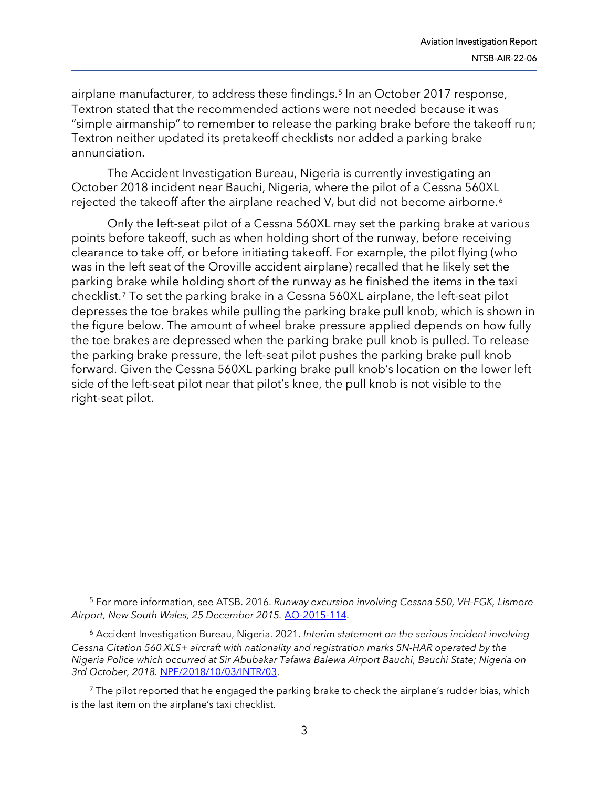airplane manufacturer, to address these findings.<sup>[5](#page-2-0)</sup> In an October 2017 response, Textron stated that the recommended actions were not needed because it was "simple airmanship" to remember to release the parking brake before the takeoff run; Textron neither updated its pretakeoff checklists nor added a parking brake annunciation.

The Accident Investigation Bureau, Nigeria is currently investigating an October 2018 incident near Bauchi, Nigeria, where the pilot of a Cessna 560XL rejected the takeoff after the airplane reached  $V_r$  but did not become airborne.<sup>6</sup>

Only the left-seat pilot of a Cessna 560XL may set the parking brake at various points before takeoff, such as when holding short of the runway, before receiving clearance to take off, or before initiating takeoff. For example, the pilot flying (who was in the left seat of the Oroville accident airplane) recalled that he likely set the parking brake while holding short of the runway as he finished the items in the taxi checklist.[7](#page-2-2) To set the parking brake in a Cessna 560XL airplane, the left-seat pilot depresses the toe brakes while pulling the parking brake pull knob, which is shown in the figure below. The amount of wheel brake pressure applied depends on how fully the toe brakes are depressed when the parking brake pull knob is pulled. To release the parking brake pressure, the left-seat pilot pushes the parking brake pull knob forward. Given the Cessna 560XL parking brake pull knob's location on the lower left side of the left-seat pilot near that pilot's knee, the pull knob is not visible to the right-seat pilot.

<span id="page-2-0"></span><sup>5</sup> For more information, see ATSB. 2016. *Runway excursion involving Cessna 550, VH-FGK, Lismore Airport, New South Wales, 25 December 2015.* [AO-2015-114.](https://www.atsb.gov.au/media/5770811/ao-2015-114-final.pdf)

<span id="page-2-1"></span><sup>6</sup> Accident Investigation Bureau, Nigeria. 2021. *Interim statement on the serious incident involving Cessna Citation 560 XLS+ aircraft with nationality and registration marks 5N-HAR operated by the Nigeria Police which occurred at Sir Abubakar Tafawa Balewa Airport Bauchi, Bauchi State; Nigeria on 3rd October, 2018.* [NPF/2018/10/03/INTR/03.](https://aib.gov.ng/wp-content/uploads/2021/10/3rd-INTERIM-STATEMENT-5N-HAR.pdf)

<span id="page-2-2"></span> $<sup>7</sup>$  The pilot reported that he engaged the parking brake to check the airplane's rudder bias, which</sup> is the last item on the airplane's taxi checklist.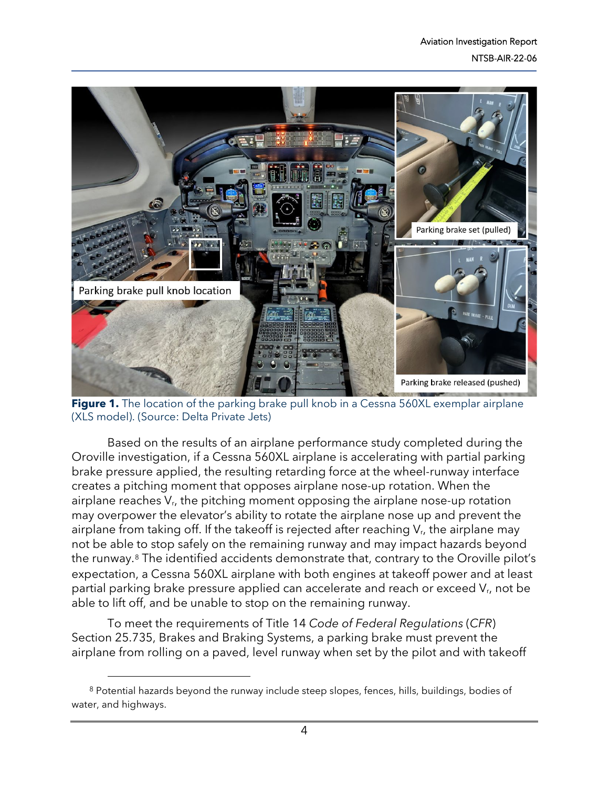

**Figure 1.** The location of the parking brake pull knob in a Cessna 560XL exemplar airplane (XLS model). (Source: Delta Private Jets)

Based on the results of an airplane performance study completed during the Oroville investigation, if a Cessna 560XL airplane is accelerating with partial parking brake pressure applied, the resulting retarding force at the wheel-runway interface creates a pitching moment that opposes airplane nose-up rotation. When the airplane reaches  $V_{r}$ , the pitching moment opposing the airplane nose-up rotation may overpower the elevator's ability to rotate the airplane nose up and prevent the airplane from taking off. If the takeoff is rejected after reaching  $V_{r}$ , the airplane may not be able to stop safely on the remaining runway and may impact hazards beyond the runway.[8](#page-3-0) The identified accidents demonstrate that, contrary to the Oroville pilot's expectation, a Cessna 560XL airplane with both engines at takeoff power and at least partial parking brake pressure applied can accelerate and reach or exceed V<sub>r</sub>, not be able to lift off, and be unable to stop on the remaining runway.

To meet the requirements of Title 14 *Code of Federal Regulations* (*CFR*) Section 25.735, Brakes and Braking Systems, a parking brake must prevent the airplane from rolling on a paved, level runway when set by the pilot and with takeoff

<span id="page-3-0"></span> $8$  Potential hazards beyond the runway include steep slopes, fences, hills, buildings, bodies of water, and highways.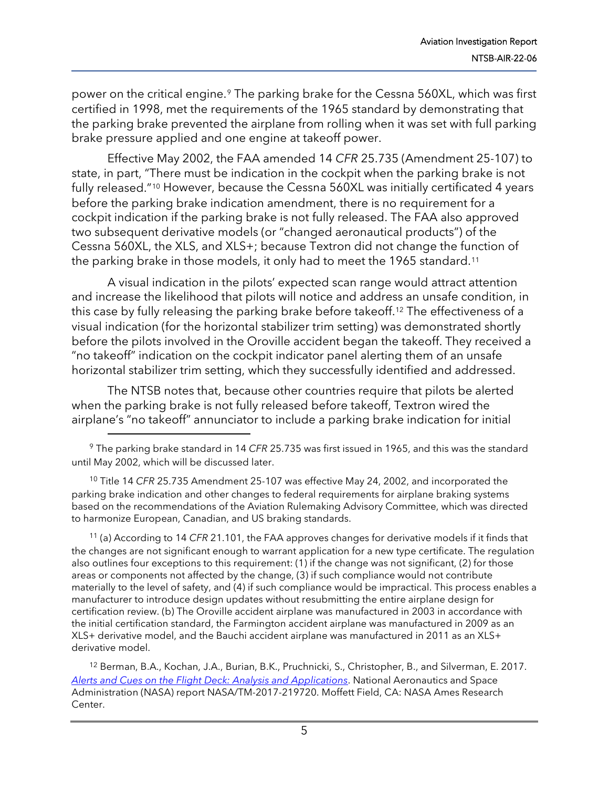power on the critical engine.[9](#page-4-0) The parking brake for the Cessna 560XL, which was first certified in 1998, met the requirements of the 1965 standard by demonstrating that the parking brake prevented the airplane from rolling when it was set with full parking brake pressure applied and one engine at takeoff power.

Effective May 2002, the FAA amended 14 *CFR* 25.735 (Amendment 25-107) to state, in part, "There must be indication in the cockpit when the parking brake is not fully released."[10](#page-4-1) However, because the Cessna 560XL was initially certificated 4 years before the parking brake indication amendment, there is no requirement for a cockpit indication if the parking brake is not fully released. The FAA also approved two subsequent derivative models (or "changed aeronautical products") of the Cessna 560XL, the XLS, and XLS+; because Textron did not change the function of the parking brake in those models, it only had to meet the 1965 standard.<sup>[11](#page-4-2)</sup>

A visual indication in the pilots' expected scan range would attract attention and increase the likelihood that pilots will notice and address an unsafe condition, in this case by fully releasing the parking brake before takeoff.[12](#page-4-3) The effectiveness of a visual indication (for the horizontal stabilizer trim setting) was demonstrated shortly before the pilots involved in the Oroville accident began the takeoff. They received a "no takeoff" indication on the cockpit indicator panel alerting them of an unsafe horizontal stabilizer trim setting, which they successfully identified and addressed.

The NTSB notes that, because other countries require that pilots be alerted when the parking brake is not fully released before takeoff, Textron wired the airplane's "no takeoff" annunciator to include a parking brake indication for initial

<span id="page-4-1"></span><sup>10</sup> Title 14 *CFR* 25.735 Amendment 25-107 was effective May 24, 2002, and incorporated the parking brake indication and other changes to federal requirements for airplane braking systems based on the recommendations of the Aviation Rulemaking Advisory Committee, which was directed to harmonize European, Canadian, and US braking standards.

<span id="page-4-2"></span><sup>11</sup> (a) According to 14 *CFR* 21.101, the FAA approves changes for derivative models if it finds that the changes are not significant enough to warrant application for a new type certificate. The regulation also outlines four exceptions to this requirement: (1) if the change was not significant, (2) for those areas or components not affected by the change, (3) if such compliance would not contribute materially to the level of safety, and (4) if such compliance would be impractical. This process enables a manufacturer to introduce design updates without resubmitting the entire airplane design for certification review. (b) The Oroville accident airplane was manufactured in 2003 in accordance with the initial certification standard, the Farmington accident airplane was manufactured in 2009 as an XLS+ derivative model, and the Bauchi accident airplane was manufactured in 2011 as an XLS+ derivative model.

<span id="page-4-3"></span><sup>12</sup> Berman, B.A., Kochan, J.A., Burian, B.K., Pruchnicki, S., Christopher, B., and Silverman, E. 2017. *[Alerts and Cues on the Flight Deck: Analysis and Applications](https://hsi.arc.nasa.gov/flightcognition/Publications/NASA_TM_2017-219720.pdf)*. National Aeronautics and Space Administration (NASA) report NASA/TM-2017-219720. Moffett Field, CA: NASA Ames Research Center.

<span id="page-4-0"></span><sup>9</sup> The parking brake standard in 14 *CFR* 25.735 was first issued in 1965, and this was the standard until May 2002, which will be discussed later.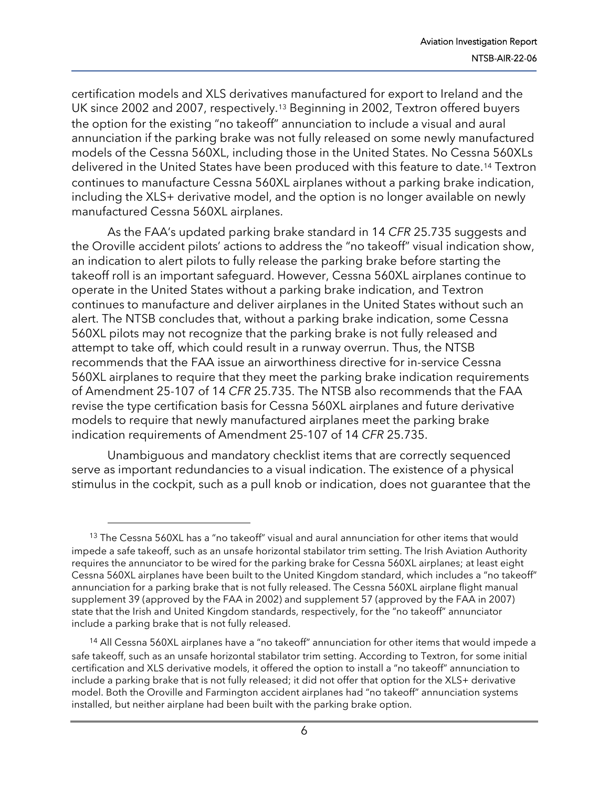certification models and XLS derivatives manufactured for export to Ireland and the UK since 2002 and 2007, respectively.[13](#page-5-0) Beginning in 2002, Textron offered buyers the option for the existing "no takeoff" annunciation to include a visual and aural annunciation if the parking brake was not fully released on some newly manufactured models of the Cessna 560XL, including those in the United States. No Cessna 560XLs delivered in the United States have been produced with this feature to date[.14](#page-5-1) Textron continues to manufacture Cessna 560XL airplanes without a parking brake indication, including the XLS+ derivative model, and the option is no longer available on newly manufactured Cessna 560XL airplanes.

As the FAA's updated parking brake standard in 14 *CFR* 25.735 suggests and the Oroville accident pilots' actions to address the "no takeoff" visual indication show, an indication to alert pilots to fully release the parking brake before starting the takeoff roll is an important safeguard. However, Cessna 560XL airplanes continue to operate in the United States without a parking brake indication, and Textron continues to manufacture and deliver airplanes in the United States without such an alert. The NTSB concludes that, without a parking brake indication, some Cessna 560XL pilots may not recognize that the parking brake is not fully released and attempt to take off, which could result in a runway overrun. Thus, the NTSB recommends that the FAA issue an airworthiness directive for in-service Cessna 560XL airplanes to require that they meet the parking brake indication requirements of Amendment 25-107 of 14 *CFR* 25.735. The NTSB also recommends that the FAA revise the type certification basis for Cessna 560XL airplanes and future derivative models to require that newly manufactured airplanes meet the parking brake indication requirements of Amendment 25-107 of 14 *CFR* 25.735.

Unambiguous and mandatory checklist items that are correctly sequenced serve as important redundancies to a visual indication. The existence of a physical stimulus in the cockpit, such as a pull knob or indication, does not guarantee that the

<span id="page-5-0"></span><sup>&</sup>lt;sup>13</sup> The Cessna 560XL has a "no takeoff" visual and aural annunciation for other items that would impede a safe takeoff, such as an unsafe horizontal stabilator trim setting. The Irish Aviation Authority requires the annunciator to be wired for the parking brake for Cessna 560XL airplanes; at least eight Cessna 560XL airplanes have been built to the United Kingdom standard, which includes a "no takeoff" annunciation for a parking brake that is not fully released. The Cessna 560XL airplane flight manual supplement 39 (approved by the FAA in 2002) and supplement 57 (approved by the FAA in 2007) state that the Irish and United Kingdom standards, respectively, for the "no takeoff" annunciator include a parking brake that is not fully released.

<span id="page-5-1"></span><sup>&</sup>lt;sup>14</sup> All Cessna 560XL airplanes have a "no takeoff" annunciation for other items that would impede a safe takeoff, such as an unsafe horizontal stabilator trim setting. According to Textron, for some initial certification and XLS derivative models, it offered the option to install a "no takeoff" annunciation to include a parking brake that is not fully released; it did not offer that option for the XLS+ derivative model. Both the Oroville and Farmington accident airplanes had "no takeoff" annunciation systems installed, but neither airplane had been built with the parking brake option.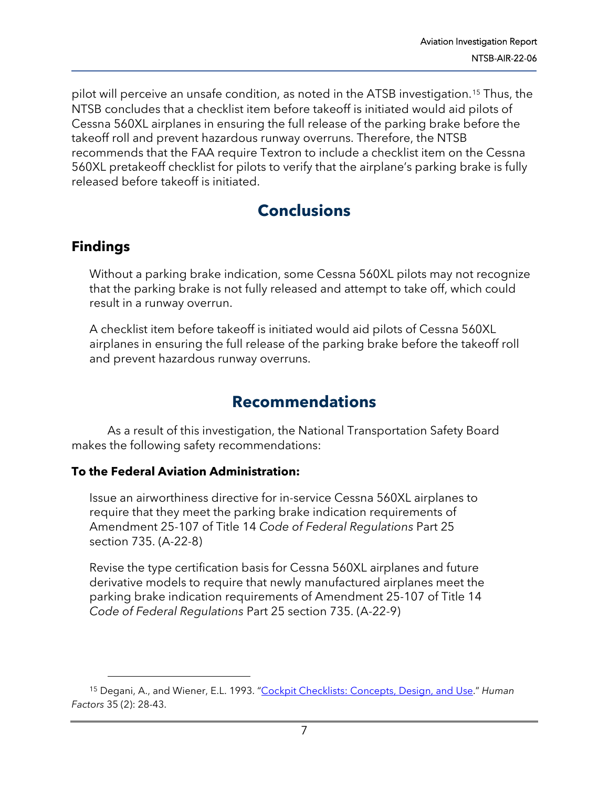pilot will perceive an unsafe condition, as noted in the ATSB investigation.[15](#page-6-0) Thus, the NTSB concludes that a checklist item before takeoff is initiated would aid pilots of Cessna 560XL airplanes in ensuring the full release of the parking brake before the takeoff roll and prevent hazardous runway overruns. Therefore, the NTSB recommends that the FAA require Textron to include a checklist item on the Cessna 560XL pretakeoff checklist for pilots to verify that the airplane's parking brake is fully released before takeoff is initiated.

## **Conclusions**

### **Findings**

Without a parking brake indication, some Cessna 560XL pilots may not recognize that the parking brake is not fully released and attempt to take off, which could result in a runway overrun.

A checklist item before takeoff is initiated would aid pilots of Cessna 560XL airplanes in ensuring the full release of the parking brake before the takeoff roll and prevent hazardous runway overruns.

## **Recommendations**

As a result of this investigation, the National Transportation Safety Board makes the following safety recommendations:

#### **To the Federal Aviation Administration:**

Issue an airworthiness directive for in-service Cessna 560XL airplanes to require that they meet the parking brake indication requirements of Amendment 25-107 of Title 14 *Code of Federal Regulations* Part 25 section 735. (A-22-8)

Revise the type certification basis for Cessna 560XL airplanes and future derivative models to require that newly manufactured airplanes meet the parking brake indication requirements of Amendment 25-107 of Title 14 *Code of Federal Regulations* Part 25 section 735. (A-22-9)

<span id="page-6-0"></span><sup>15</sup> Degani, A., and Wiener, E.L. 1993. ["Cockpit Checklists: Concepts, Design, and Use.](https://journals.sagepub.com/doi/10.1177/001872089303500209)" *Human Factors* 35 (2): 28-43.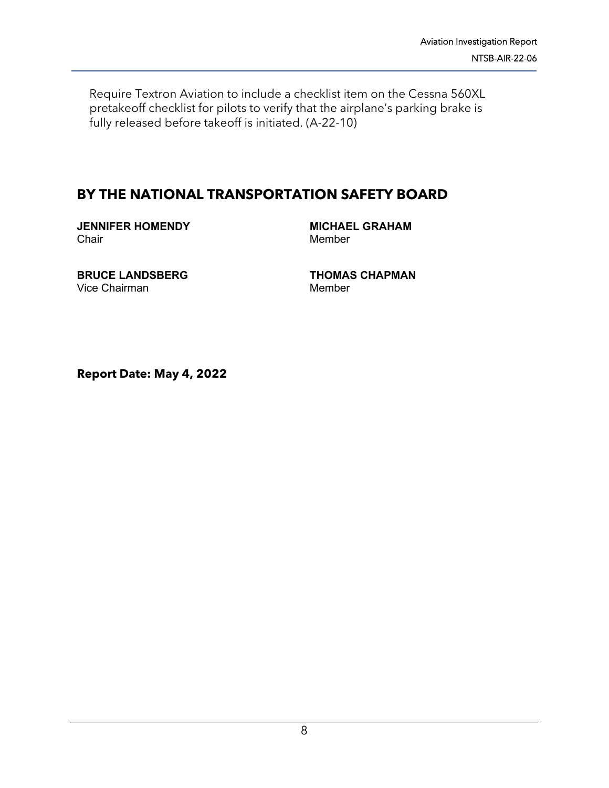Require Textron Aviation to include a checklist item on the Cessna 560XL pretakeoff checklist for pilots to verify that the airplane's parking brake is fully released before takeoff is initiated. (A-22-10)

#### **BY THE NATIONAL TRANSPORTATION SAFETY BOARD**

**JENNIFER HOMENDY Chair** 

**MICHAEL GRAHAM** Member

**BRUCE LANDSBERG** Vice Chairman

**THOMAS CHAPMAN** Member

**Report Date: May 4, 2022**